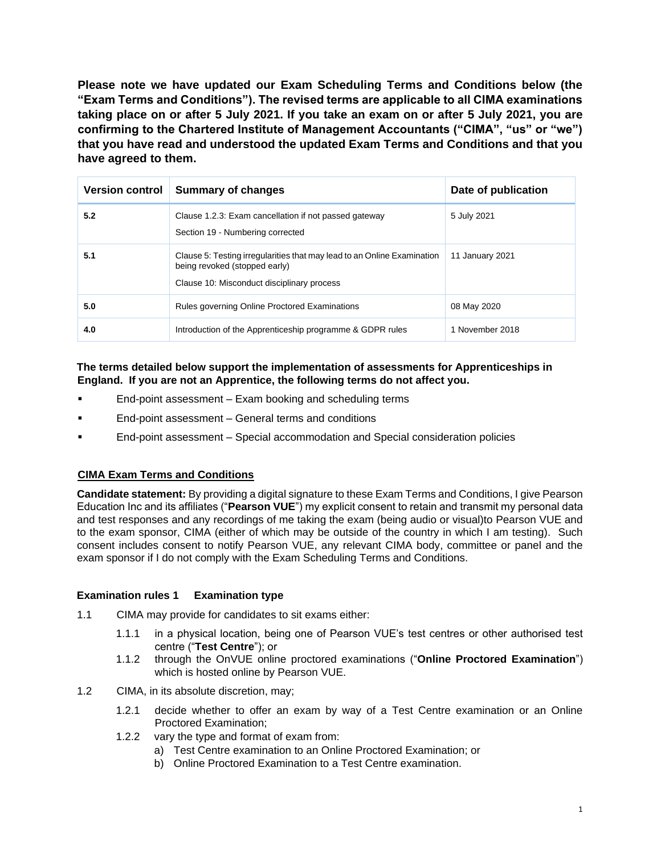**Please note we have updated our Exam Scheduling Terms and Conditions below (the "Exam Terms and Conditions"). The revised terms are applicable to all CIMA examinations taking place on or after 5 July 2021. If you take an exam on or after 5 July 2021, you are confirming to the Chartered Institute of Management Accountants ("CIMA", "us" or "we") that you have read and understood the updated Exam Terms and Conditions and that you have agreed to them.** 

| <b>Version control</b> | <b>Summary of changes</b>                                                                                                                              | Date of publication |
|------------------------|--------------------------------------------------------------------------------------------------------------------------------------------------------|---------------------|
| 5.2                    | Clause 1.2.3: Exam cancellation if not passed gateway<br>Section 19 - Numbering corrected                                                              | 5 July 2021         |
| 5.1                    | Clause 5: Testing irregularities that may lead to an Online Examination<br>being revoked (stopped early)<br>Clause 10: Misconduct disciplinary process | 11 January 2021     |
| 5.0                    | Rules governing Online Proctored Examinations                                                                                                          | 08 May 2020         |
| 4.0                    | Introduction of the Apprenticeship programme & GDPR rules                                                                                              | 1 November 2018     |

# **The terms detailed below support the implementation of assessments for Apprenticeships in England. If you are not an Apprentice, the following terms do not affect you.**

- End-point assessment Exam booking and scheduling terms
- **End-point assessment General terms and conditions**
- End-point assessment Special accommodation and Special consideration policies

# **CIMA Exam Terms and Conditions**

**Candidate statement:** By providing a digital signature to these Exam Terms and Conditions, I give Pearson Education Inc and its affiliates ("**Pearson VUE**") my explicit consent to retain and transmit my personal data and test responses and any recordings of me taking the exam (being audio or visual)to Pearson VUE and to the exam sponsor, CIMA (either of which may be outside of the country in which I am testing). Such consent includes consent to notify Pearson VUE, any relevant CIMA body, committee or panel and the exam sponsor if I do not comply with the Exam Scheduling Terms and Conditions.

# **Examination rules 1 Examination type**

- 1.1 CIMA may provide for candidates to sit exams either:
	- 1.1.1 in a physical location, being one of Pearson VUE's test centres or other authorised test centre ("**Test Centre**"); or
	- 1.1.2 through the OnVUE online proctored examinations ("**Online Proctored Examination**") which is hosted online by Pearson VUE.
- 1.2 CIMA, in its absolute discretion, may;
	- 1.2.1 decide whether to offer an exam by way of a Test Centre examination or an Online Proctored Examination;
	- 1.2.2 vary the type and format of exam from:
		- a) Test Centre examination to an Online Proctored Examination; or
		- b) Online Proctored Examination to a Test Centre examination.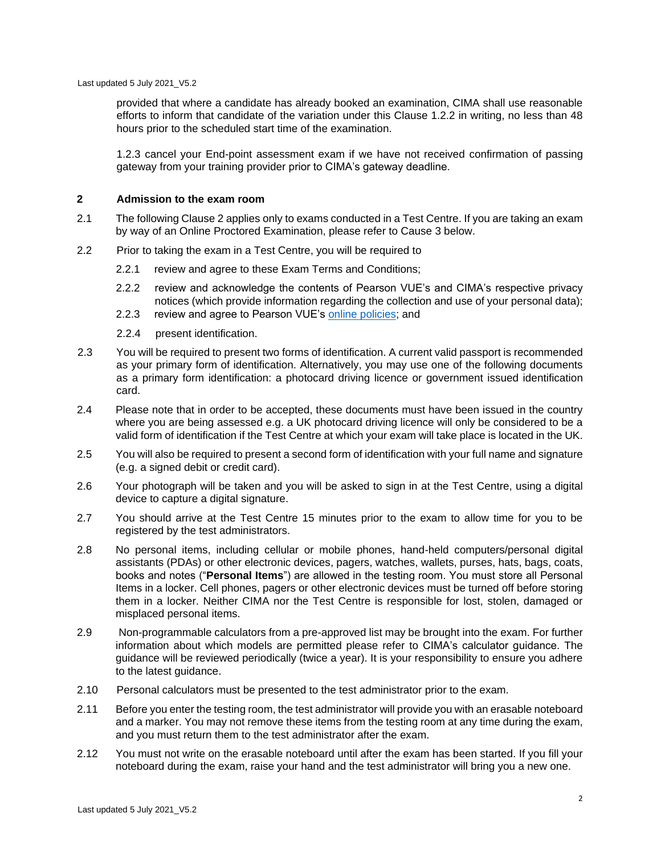Last updated 5 July 2021\_V5.2

provided that where a candidate has already booked an examination, CIMA shall use reasonable efforts to inform that candidate of the variation under this Clause 1.2.2 in writing, no less than 48 hours prior to the scheduled start time of the examination.

1.2.3 cancel your End-point assessment exam if we have not received confirmation of passing gateway from your training provider prior to CIMA's gateway deadline.

#### **2 Admission to the exam room**

- 2.1 The following Clause 2 applies only to exams conducted in a Test Centre. If you are taking an exam by way of an Online Proctored Examination, please refer to Cause 3 below.
- 2.2 Prior to taking the exam in a Test Centre, you will be required to
	- 2.2.1 review and agree to these Exam Terms and Conditions;
	- 2.2.2 review and acknowledge the contents of Pearson VUE's and CIMA's respective privacy notices (which provide information regarding the collection and use of your personal data);
	- 2.2.3 review and agree to Pearson VUE's [online policies;](https://home.pearsonvue.com/Documents/Online-Proctored/online-proctored-policies.aspx) and
	- 2.2.4 present identification.
- 2.3 You will be required to present two forms of identification. A current valid passport is recommended as your primary form of identification. Alternatively, you may use one of the following documents as a primary form identification: a photocard driving licence or government issued identification card.
- 2.4 Please note that in order to be accepted, these documents must have been issued in the country where you are being assessed e.g. a UK photocard driving licence will only be considered to be a valid form of identification if the Test Centre at which your exam will take place is located in the UK.
- 2.5 You will also be required to present a second form of identification with your full name and signature (e.g. a signed debit or credit card).
- 2.6 Your photograph will be taken and you will be asked to sign in at the Test Centre, using a digital device to capture a digital signature.
- 2.7 You should arrive at the Test Centre 15 minutes prior to the exam to allow time for you to be registered by the test administrators.
- 2.8 No personal items, including cellular or mobile phones, hand-held computers/personal digital assistants (PDAs) or other electronic devices, pagers, watches, wallets, purses, hats, bags, coats, books and notes ("**Personal Items**") are allowed in the testing room. You must store all Personal Items in a locker. Cell phones, pagers or other electronic devices must be turned off before storing them in a locker. Neither CIMA nor the Test Centre is responsible for lost, stolen, damaged or misplaced personal items.
- 2.9 Non-programmable calculators from a pre-approved list may be brought into the exam. For further information about which models are permitted please refer to [CIMA's calculator guidance.](https://connect.cimaglobal.com/general-info/day-exam) The guidance will be reviewed periodically (twice a year). It is your responsibility to ensure you adhere to the latest guidance.
- 2.10 Personal calculators must be presented to the test administrator prior to the exam.
- 2.11 Before you enter the testing room, the test administrator will provide you with an erasable noteboard and a marker. You may not remove these items from the testing room at any time during the exam, and you must return them to the test administrator after the exam.
- 2.12 You must not write on the erasable noteboard until after the exam has been started. If you fill your noteboard during the exam, raise your hand and the test administrator will bring you a new one.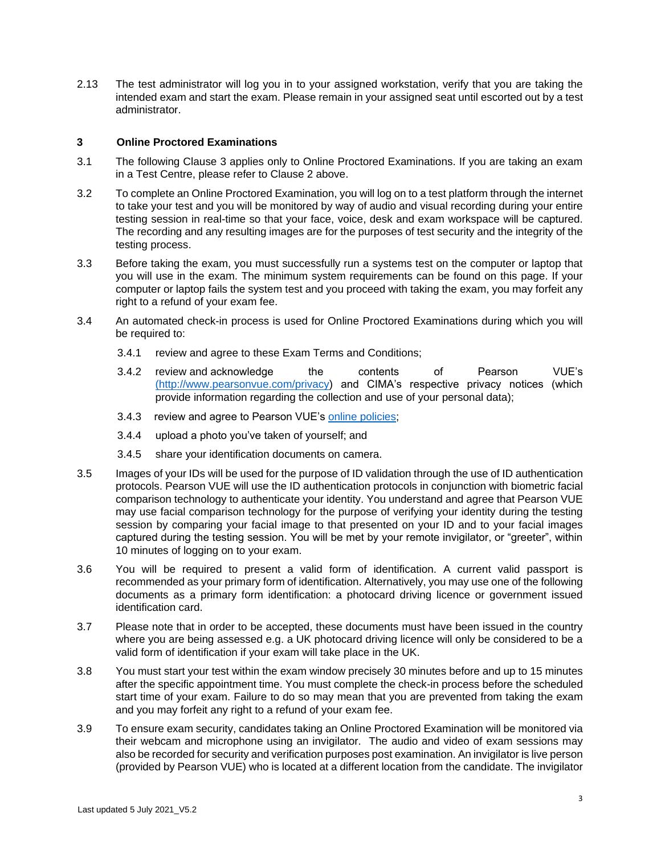2.13 The test administrator will log you in to your assigned workstation, verify that you are taking the intended exam and start the exam. Please remain in your assigned seat until escorted out by a test administrator.

## **3 Online Proctored Examinations**

- 3.1 The following Clause 3 applies only to Online Proctored Examinations. If you are taking an exam in a Test Centre, please refer to Clause 2 above.
- 3.2 To complete an Online Proctored Examination, you will log on to a test platform through the internet to take your test and you will be monitored by way of audio and visual recording during your entire testing session in real-time so that your face, voice, desk and exam workspace will be captured. The recording and any resulting images are for the purposes of test security and the integrity of the testing process.
- 3.3 Before taking the exam, you must successfully run a systems test on the computer or laptop that you will use in the exam. The minimum system requirements can be found on this page. If your computer or laptop fails the system test and you proceed with taking the exam, you may forfeit any right to a refund of your exam fee.
- 3.4 An automated check-in process is used for Online Proctored Examinations during which you will be required to:
	- 3.4.1 review and agree to these Exam Terms and Conditions;
	- 3.4.2 review and acknowledge the contents of Pearson VUE's [\(](https://aicpa-my.sharepoint.com/personal/hmatthews_aicpa_org/Documents/Documents/Helen%20Matthews/Apprenticeships/Handbook%20review%20july%2019/()[http://www.pearsonvue.com/privacy\)](http://www.pearsonvue.com/privacy) and CIMA's respective privacy notices (which provide information regarding the collection and use of your personal data);
	- 3.4.3 review and agree to Pearson VUE's [online policies;](https://home.pearsonvue.com/Documents/Online-Proctored/online-proctored-policies.aspx)
	- 3.4.4 upload a photo you've taken of yourself; and
	- 3.4.5 share your identification documents on camera.
- 3.5 Images of your IDs will be used for the purpose of ID validation through the use of ID authentication protocols. Pearson VUE will use the ID authentication protocols in conjunction with biometric facial comparison technology to authenticate your identity. You understand and agree that Pearson VUE may use facial comparison technology for the purpose of verifying your identity during the testing session by comparing your facial image to that presented on your ID and to your facial images captured during the testing session. You will be met by your remote invigilator, or "greeter", within 10 minutes of logging on to your exam.
- 3.6 You will be required to present a valid form of identification. A current valid passport is recommended as your primary form of identification. Alternatively, you may use one of the following documents as a primary form identification: a photocard driving licence or government issued identification card.
- 3.7 Please note that in order to be accepted, these documents must have been issued in the country where you are being assessed e.g. a UK photocard driving licence will only be considered to be a valid form of identification if your exam will take place in the UK.
- 3.8 You must start your test within the exam window precisely 30 minutes before and up to 15 minutes after the specific appointment time. You must complete the check-in process before the scheduled start time of your exam. Failure to do so may mean that you are prevented from taking the exam and you may forfeit any right to a refund of your exam fee.
- 3.9 To ensure exam security, candidates taking an Online Proctored Examination will be monitored via their webcam and microphone using an invigilator. The audio and video of exam sessions may also be recorded for security and verification purposes post examination. An invigilator is live person (provided by Pearson VUE) who is located at a different location from the candidate. The invigilator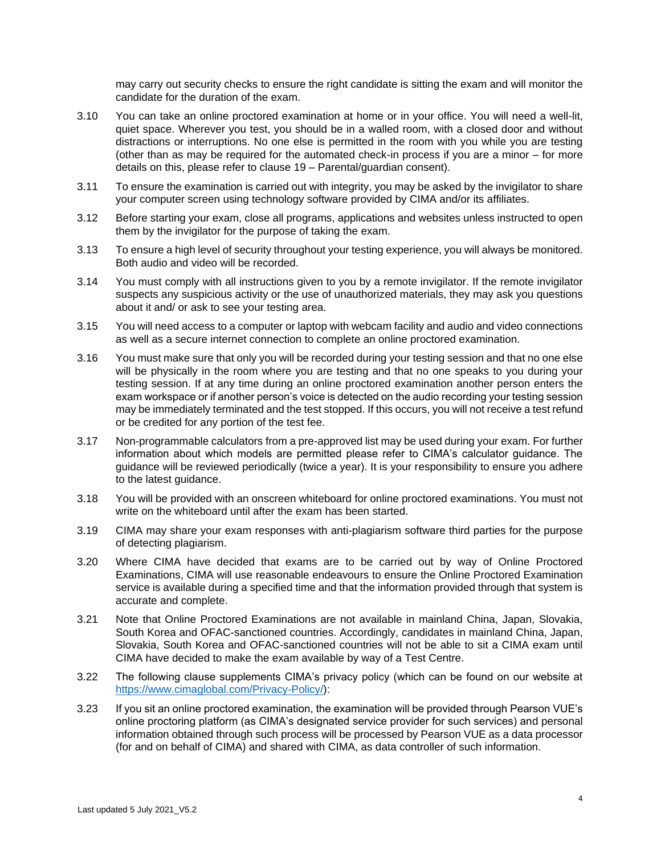may carry out security checks to ensure the right candidate is sitting the exam and will monitor the candidate for the duration of the exam.

- 3.10 You can take an online proctored examination at home or in your office. You will need a well-lit, quiet space. Wherever you test, you should be in a walled room, with a closed door and without distractions or interruptions. No one else is permitted in the room with you while you are testing (other than as may be required for the automated check-in process if you are a minor – for more details on this, please refer to clause 19 – Parental/guardian consent).
- 3.11 To ensure the examination is carried out with integrity, you may be asked by the invigilator to share your computer screen using technology software provided by CIMA and/or its affiliates.
- 3.12 Before starting your exam, close all programs, applications and websites unless instructed to open them by the invigilator for the purpose of taking the exam.
- 3.13 To ensure a high level of security throughout your testing experience, you will always be monitored. Both audio and video will be recorded.
- 3.14 You must comply with all instructions given to you by a remote invigilator. If the remote invigilator suspects any suspicious activity or the use of unauthorized materials, they may ask you questions about it and/ or ask to see your testing area.
- 3.15 You will need access to a computer or laptop with webcam facility and audio and video connections as well as a secure internet connection to complete an online proctored examination.
- 3.16 You must make sure that only you will be recorded during your testing session and that no one else will be physically in the room where you are testing and that no one speaks to you during your testing session. If at any time during an online proctored examination another person enters the exam workspace or if another person's voice is detected on the audio recording your testing session may be immediately terminated and the test stopped. If this occurs, you will not receive a test refund or be credited for any portion of the test fee.
- 3.17 Non-programmable calculators from a pre-approved list may be used during your exam. For further information about which models are permitted please refer to CIMA's calculator guidance. The guidance will be reviewed periodically (twice a year). It is your responsibility to ensure you adhere to the latest guidance.
- 3.18 You will be provided with an onscreen whiteboard for online proctored examinations. You must not write on the whiteboard until after the exam has been started.
- 3.19 CIMA may share your exam responses with anti-plagiarism software third parties for the purpose of detecting plagiarism.
- 3.20 Where CIMA have decided that exams are to be carried out by way of Online Proctored Examinations, CIMA will use reasonable endeavours to ensure the Online Proctored Examination service is available during a specified time and that the information provided through that system is accurate and complete.
- 3.21 Note that Online Proctored Examinations are not available in mainland China, Japan, Slovakia, South Korea and OFAC-sanctioned countries. Accordingly, candidates in mainland China, Japan, Slovakia, South Korea and OFAC-sanctioned countries will not be able to sit a CIMA exam until CIMA have decided to make the exam available by way of a Test Centre.
- 3.22 The following clause supplements CIMA's privacy policy (which can be found on our website at [https://www.cimaglobal.com/Privacy-Policy/\):](https://www.cimaglobal.com/Privacy-Policy/)
- 3.23 If you sit an online proctored examination, the examination will be provided through Pearson VUE's online proctoring platform (as CIMA's designated service provider for such services) and personal information obtained through such process will be processed by Pearson VUE as a data processor (for and on behalf of CIMA) and shared with CIMA, as data controller of such information.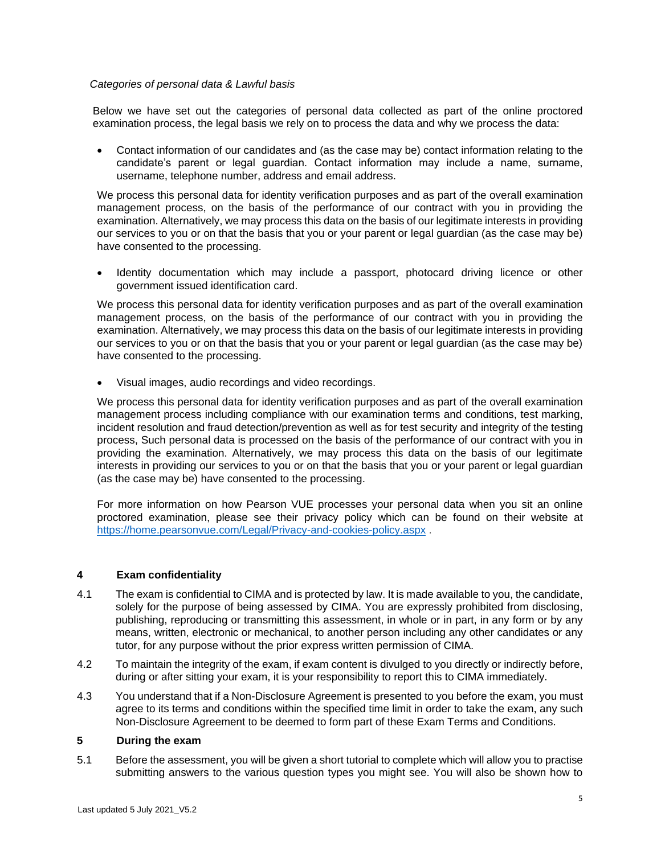### *Categories of personal data & Lawful basis*

Below we have set out the categories of personal data collected as part of the online proctored examination process, the legal basis we rely on to process the data and why we process the data:

• Contact information of our candidates and (as the case may be) contact information relating to the candidate's parent or legal guardian. Contact information may include a name, surname, username, telephone number, address and email address.

We process this personal data for identity verification purposes and as part of the overall examination management process, on the basis of the performance of our contract with you in providing the examination. Alternatively, we may process this data on the basis of our legitimate interests in providing our services to you or on that the basis that you or your parent or legal guardian (as the case may be) have consented to the processing.

• Identity documentation which may include a passport, photocard driving licence or other government issued identification card.

We process this personal data for identity verification purposes and as part of the overall examination management process, on the basis of the performance of our contract with you in providing the examination. Alternatively, we may process this data on the basis of our legitimate interests in providing our services to you or on that the basis that you or your parent or legal guardian (as the case may be) have consented to the processing.

• Visual images, audio recordings and video recordings.

We process this personal data for identity verification purposes and as part of the overall examination management process including compliance with our examination terms and conditions, test marking, incident resolution and fraud detection/prevention as well as for test security and integrity of the testing process, Such personal data is processed on the basis of the performance of our contract with you in providing the examination. Alternatively, we may process this data on the basis of our legitimate interests in providing our services to you or on that the basis that you or your parent or legal guardian (as the case may be) have consented to the processing.

For more information on how Pearson VUE processes your personal data when you sit an online proctored examination, please see their privacy policy which can be found on their website at <https://home.pearsonvue.com/Legal/Privacy-and-cookies-policy.aspx>.

### **4 Exam confidentiality**

- 4.1 The exam is confidential to CIMA and is protected by law. It is made available to you, the candidate, solely for the purpose of being assessed by CIMA. You are expressly prohibited from disclosing, publishing, reproducing or transmitting this assessment, in whole or in part, in any form or by any means, written, electronic or mechanical, to another person including any other candidates or any tutor, for any purpose without the prior express written permission of CIMA.
- 4.2 To maintain the integrity of the exam, if exam content is divulged to you directly or indirectly before, during or after sitting your exam, it is your responsibility to report this to CIMA immediately.
- 4.3 You understand that if a Non-Disclosure Agreement is presented to you before the exam, you must agree to its terms and conditions within the specified time limit in order to take the exam, any such Non-Disclosure Agreement to be deemed to form part of these Exam Terms and Conditions.

### **5 During the exam**

5.1 Before the assessment, you will be given a short tutorial to complete which will allow you to practise submitting answers to the various question types you might see. You will also be shown how to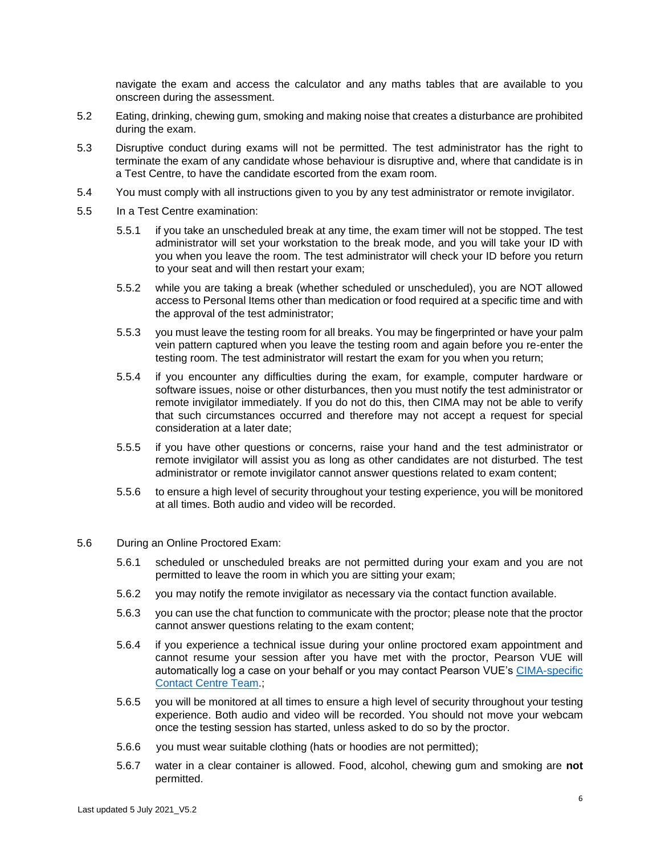navigate the exam and access the calculator and any maths tables that are available to you onscreen during the assessment.

- 5.2 Eating, drinking, chewing gum, smoking and making noise that creates a disturbance are prohibited during the exam.
- 5.3 Disruptive conduct during exams will not be permitted. The test administrator has the right to terminate the exam of any candidate whose behaviour is disruptive and, where that candidate is in a Test Centre, to have the candidate escorted from the exam room.
- 5.4 You must comply with all instructions given to you by any test administrator or remote invigilator.
- 5.5 In a Test Centre examination:
	- 5.5.1 if you take an unscheduled break at any time, the exam timer will not be stopped. The test administrator will set your workstation to the break mode, and you will take your ID with you when you leave the room. The test administrator will check your ID before you return to your seat and will then restart your exam;
	- 5.5.2 while you are taking a break (whether scheduled or unscheduled), you are NOT allowed access to Personal Items other than medication or food required at a specific time and with the approval of the test administrator;
	- 5.5.3 you must leave the testing room for all breaks. You may be fingerprinted or have your palm vein pattern captured when you leave the testing room and again before you re-enter the testing room. The test administrator will restart the exam for you when you return;
	- 5.5.4 if you encounter any difficulties during the exam, for example, computer hardware or software issues, noise or other disturbances, then you must notify the test administrator or remote invigilator immediately. If you do not do this, then CIMA may not be able to verify that such circumstances occurred and therefore may not accept a request for special consideration at a later date;
	- 5.5.5 if you have other questions or concerns, raise your hand and the test administrator or remote invigilator will assist you as long as other candidates are not disturbed. The test administrator or remote invigilator cannot answer questions related to exam content;
	- 5.5.6 to ensure a high level of security throughout your testing experience, you will be monitored at all times. Both audio and video will be recorded.
- 5.6 During an Online Proctored Exam:
	- 5.6.1 scheduled or unscheduled breaks are not permitted during your exam and you are not permitted to leave the room in which you are sitting your exam;
	- 5.6.2 you may notify the remote invigilator as necessary via the contact function available.
	- 5.6.3 you can use the chat function to communicate with the proctor; please note that the proctor cannot answer questions relating to the exam content;
	- 5.6.4 if you experience a technical issue during your online proctored exam appointment and cannot resume your session after you have met with the proctor, Pearson VUE will automatically log a case on your behalf or you may contact Pearson VUE's [CIMA-specific](https://home.pearsonvue.com/cima/contact) [Contact Centre Team.;](https://home.pearsonvue.com/cima/contact)
	- 5.6.5 you will be monitored at all times to ensure a high level of security throughout your testing experience. Both audio and video will be recorded. You should not move your webcam once the testing session has started, unless asked to do so by the proctor.
	- 5.6.6 you must wear suitable clothing (hats or hoodies are not permitted);
	- 5.6.7 water in a clear container is allowed. Food, alcohol, chewing gum and smoking are **not** permitted.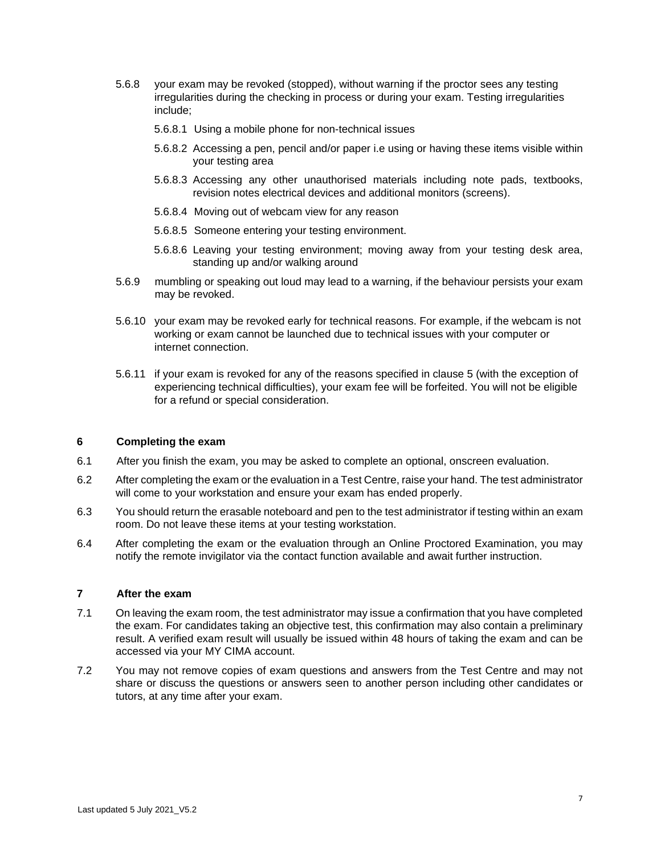- 5.6.8 your exam may be revoked (stopped), without warning if the proctor sees any testing irregularities during the checking in process or during your exam. Testing irregularities include;
	- 5.6.8.1 Using a mobile phone for non-technical issues
	- 5.6.8.2 Accessing a pen, pencil and/or paper i.e using or having these items visible within your testing area
	- 5.6.8.3 Accessing any other unauthorised materials including note pads, textbooks, revision notes electrical devices and additional monitors (screens).
	- 5.6.8.4 Moving out of webcam view for any reason
	- 5.6.8.5 Someone entering your testing environment.
	- 5.6.8.6 Leaving your testing environment; moving away from your testing desk area, standing up and/or walking around
- 5.6.9 mumbling or speaking out loud may lead to a warning, if the behaviour persists your exam may be revoked.
- 5.6.10 your exam may be revoked early for technical reasons. For example, if the webcam is not working or exam cannot be launched due to technical issues with your computer or internet connection.
- 5.6.11 if your exam is revoked for any of the reasons specified in clause 5 (with the exception of experiencing technical difficulties), your exam fee will be forfeited. You will not be eligible for a refund or special consideration.

### **6 Completing the exam**

- 6.1 After you finish the exam, you may be asked to complete an optional, onscreen evaluation.
- 6.2 After completing the exam or the evaluation in a Test Centre, raise your hand. The test administrator will come to your workstation and ensure your exam has ended properly.
- 6.3 You should return the erasable noteboard and pen to the test administrator if testing within an exam room. Do not leave these items at your testing workstation.
- 6.4 After completing the exam or the evaluation through an Online Proctored Examination, you may notify the remote invigilator via the contact function available and await further instruction.

### **7 After the exam**

- 7.1 On leaving the exam room, the test administrator may issue a confirmation that you have completed the exam. For candidates taking an objective test, this confirmation may also contain a preliminary result. A verified exam result will usually be issued within 48 hours of taking the exam and can be accessed via your MY CIMA account.
- 7.2 You may not remove copies of exam questions and answers from the Test Centre and may not share or discuss the questions or answers seen to another person including other candidates or tutors, at any time after your exam.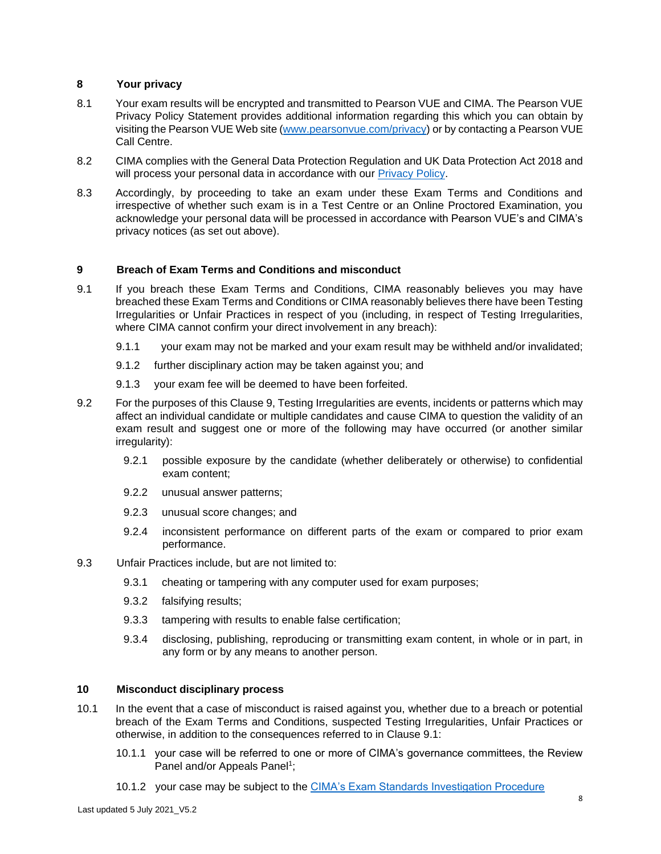## **8 Your privacy**

- 8.1 Your exam results will be encrypted and transmitted to Pearson VUE and CIMA. The Pearson VUE Privacy Policy Statement provides additional information regarding this which you can obtain by visiting the Pearson VUE Web site [\(www.pearsonvue.com/privacy\)](http://www.pearsonvue.com/privacy) or by contacting a Pearson VUE Call Centre.
- 8.2 CIMA complies with the General Data Protection Regulation and UK Data Protection Act 2018 and will process your personal data in accordance with our [Privacy Policy.](https://www.cimaglobal.com/Privacy-Policy/)
- 8.3 Accordingly, by proceeding to take an exam under these Exam Terms and Conditions and irrespective of whether such exam is in a Test Centre or an Online Proctored Examination, you acknowledge your personal data will be processed in accordance with Pearson VUE's and CIMA's privacy notices (as set out above).

## **9 Breach of Exam Terms and Conditions and misconduct**

- 9.1 If you breach these Exam Terms and Conditions, CIMA reasonably believes you may have breached these Exam Terms and Conditions or CIMA reasonably believes there have been Testing Irregularities or Unfair Practices in respect of you (including, in respect of Testing Irregularities, where CIMA cannot confirm your direct involvement in any breach):
	- 9.1.1 your exam may not be marked and your exam result may be withheld and/or invalidated;
	- 9.1.2 further disciplinary action may be taken against you; and
	- 9.1.3 your exam fee will be deemed to have been forfeited.
- 9.2 For the purposes of this Clause 9, Testing Irregularities are events, incidents or patterns which may affect an individual candidate or multiple candidates and cause CIMA to question the validity of an exam result and suggest one or more of the following may have occurred (or another similar irregularity):
	- 9.2.1 possible exposure by the candidate (whether deliberately or otherwise) to confidential exam content;
	- 9.2.2 unusual answer patterns;
	- 9.2.3 unusual score changes; and
	- 9.2.4 inconsistent performance on different parts of the exam or compared to prior exam performance.
- 9.3 Unfair Practices include, but are not limited to:
	- 9.3.1 cheating or tampering with any computer used for exam purposes;
	- 9.3.2 falsifying results;
	- 9.3.3 tampering with results to enable false certification;
	- 9.3.4 disclosing, publishing, reproducing or transmitting exam content, in whole or in part, in any form or by any means to another person.

### **10 Misconduct disciplinary process**

- 10.1 In the event that a case of misconduct is raised against you, whether due to a breach or potential breach of the Exam Terms and Conditions, suspected Testing Irregularities, Unfair Practices or otherwise, in addition to the consequences referred to in Clause 9.1:
	- 10.1.1 your case will be referred to one or more of CIMA's governance committees, the Review Panel and/or Appeals Panel<sup>1</sup>;
	- 10.1.2 your case may be subject to the [CIMA's Exam Standards Investigation Procedure](https://www.cimaglobal.com/Studying/Exams/Exam-policies/)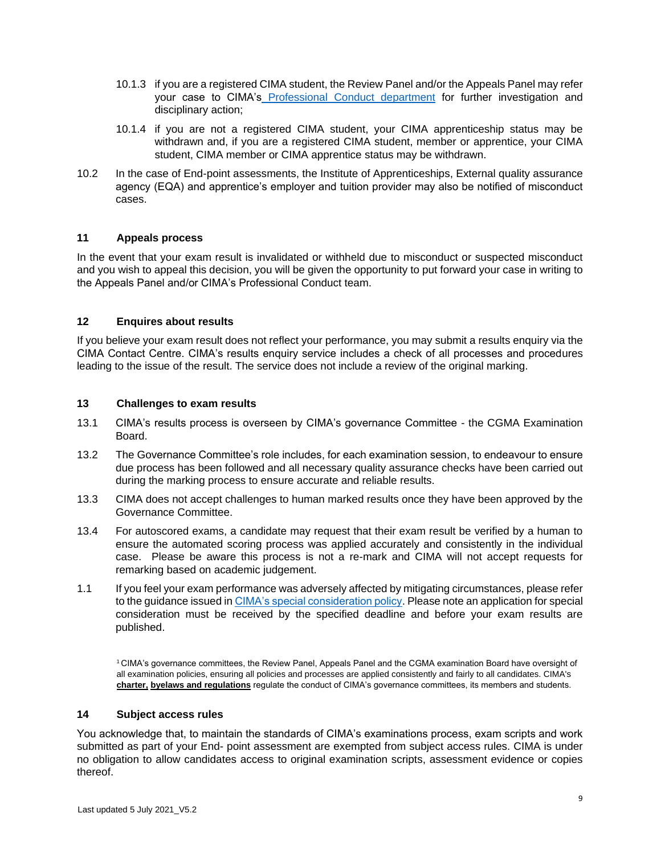- 10.1.3 if you are a registered CIMA student, the Review Panel and/or the Appeals Panel may refer your case to CIMA'[s](https://www.cimaglobal.com/Professionalism/Conduct/) [Professional Conduct department](https://www.cimaglobal.com/Professionalism/Conduct/) [f](https://www.cimaglobal.com/Professionalism/Conduct/)or further investigation and disciplinary action;
- 10.1.4 if you are not a registered CIMA student, your CIMA apprenticeship status may be withdrawn and, if you are a registered CIMA student, member or apprentice, your CIMA student, CIMA member or CIMA apprentice status may be withdrawn.
- 10.2 In the case of End-point assessments, the Institute of Apprenticeships, External quality assurance agency (EQA) and apprentice's employer and tuition provider may also be notified of misconduct cases.

## **11 Appeals process**

In the event that your exam result is invalidated or withheld due to misconduct or suspected misconduct and you wish to appeal this decision, you will be given the opportunity to put forward your case in writing to the Appeals Panel and/or CIMA's Professional Conduct team.

### **12 Enquires about results**

If you believe your exam result does not reflect your performance, you may submit a results enquiry via the CIMA Contact Centre. CIMA's results enquiry service includes a check of all processes and procedures leading to the issue of the result. The service does not include a review of the original marking.

## **13 Challenges to exam results**

- 13.1 CIMA's results process is overseen by CIMA's governance Committee the CGMA Examination Board.
- 13.2 The Governance Committee's role includes, for each examination session, to endeavour to ensure due process has been followed and all necessary quality assurance checks have been carried out during the marking process to ensure accurate and reliable results.
- 13.3 CIMA does not accept challenges to human marked results once they have been approved by the Governance Committee.
- 13.4 For autoscored exams, a candidate may request that their exam result be verified by a human to ensure the automated scoring process was applied accurately and consistently in the individual case. Please be aware this process is not a re-mark and CIMA will not accept requests for remarking based on academic judgement.
- 1.1 If you feel your exam performance was adversely affected by mitigating circumstances, please refer to the guidance issued [in CIMA's special consideration policy.](http://www.cimaglobal.com/Studying/plan/Scheduling-your-exam/Exam-policies/) Please note an application for special consideration must be received by the specified deadline and before your exam results are published.

<sup>1</sup>CIMA's governance committees, the Review Panel, Appeals Panel and the CGMA examination Board have oversight of all examination policies, ensuring all policies and processes are applied consistently and fairly to all candidates. CIMA's **[charter,](http://www.cimaglobal.com/Members/Members-handbook/Charter-byelaws-and-regulations/) [byelaws and regulations](http://www.cimaglobal.com/Members/Members-handbook/Charter-byelaws-and-regulations/)** [re](http://www.cimaglobal.com/Members/Members-handbook/Charter-byelaws-and-regulations/)gulate the conduct of CIMA's governance committees, its members and students.

### **14 Subject access rules**

You acknowledge that, to maintain the standards of CIMA's examinations process, exam scripts and work submitted as part of your End- point assessment are exempted from subject access rules. CIMA is under no obligation to allow candidates access to original examination scripts, assessment evidence or copies thereof.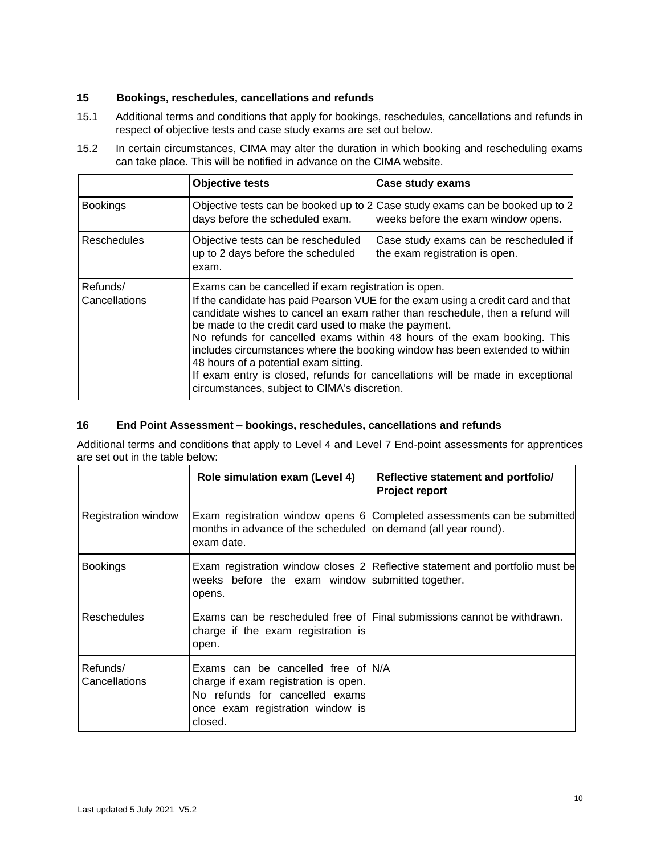## **15 Bookings, reschedules, cancellations and refunds**

- 15.1 Additional terms and conditions that apply for bookings, reschedules, cancellations and refunds in respect of objective tests and case study exams are set out below.
- 15.2 In certain circumstances, CIMA may alter the duration in which booking and rescheduling exams can take place. This will be notified in advance on the CIMA website.

|                           | <b>Objective tests</b>                                                                                                                                                                                                                                                                                                                                                                                                                                                                                                                                                                                                 | Case study exams                                                                                                    |
|---------------------------|------------------------------------------------------------------------------------------------------------------------------------------------------------------------------------------------------------------------------------------------------------------------------------------------------------------------------------------------------------------------------------------------------------------------------------------------------------------------------------------------------------------------------------------------------------------------------------------------------------------------|---------------------------------------------------------------------------------------------------------------------|
| <b>Bookings</b>           | days before the scheduled exam.                                                                                                                                                                                                                                                                                                                                                                                                                                                                                                                                                                                        | Objective tests can be booked up to 2 Case study exams can be booked up to 2<br>weeks before the exam window opens. |
| <b>Reschedules</b>        | Objective tests can be rescheduled<br>up to 2 days before the scheduled<br>exam.                                                                                                                                                                                                                                                                                                                                                                                                                                                                                                                                       | Case study exams can be rescheduled if<br>the exam registration is open.                                            |
| Refunds/<br>Cancellations | Exams can be cancelled if exam registration is open.<br>If the candidate has paid Pearson VUE for the exam using a credit card and that<br>candidate wishes to cancel an exam rather than reschedule, then a refund will<br>be made to the credit card used to make the payment.<br>No refunds for cancelled exams within 48 hours of the exam booking. This<br>includes circumstances where the booking window has been extended to within<br>48 hours of a potential exam sitting.<br>If exam entry is closed, refunds for cancellations will be made in exceptional<br>circumstances, subject to CIMA's discretion. |                                                                                                                     |

# **16 End Point Assessment – bookings, reschedules, cancellations and refunds**

Additional terms and conditions that apply to Level 4 and Level 7 End-point assessments for apprentices are set out in the table below:

|                           | Role simulation exam (Level 4)                                                                                                                              | Reflective statement and portfolio/<br><b>Project report</b>                 |
|---------------------------|-------------------------------------------------------------------------------------------------------------------------------------------------------------|------------------------------------------------------------------------------|
| Registration window       | months in advance of the scheduled on demand (all year round).<br>exam date.                                                                                | Exam registration window opens 6 Completed assessments can be submitted      |
| <b>Bookings</b>           | weeks before the exam window submitted together.<br>opens.                                                                                                  | Exam registration window closes 2 Reflective statement and portfolio must be |
| <b>Reschedules</b>        | charge if the exam registration is<br>open.                                                                                                                 | Exams can be rescheduled free of Final submissions cannot be withdrawn.      |
| Refunds/<br>Cancellations | Exams can be cancelled free of N/A<br>charge if exam registration is open.<br>No refunds for cancelled exams<br>once exam registration window is<br>closed. |                                                                              |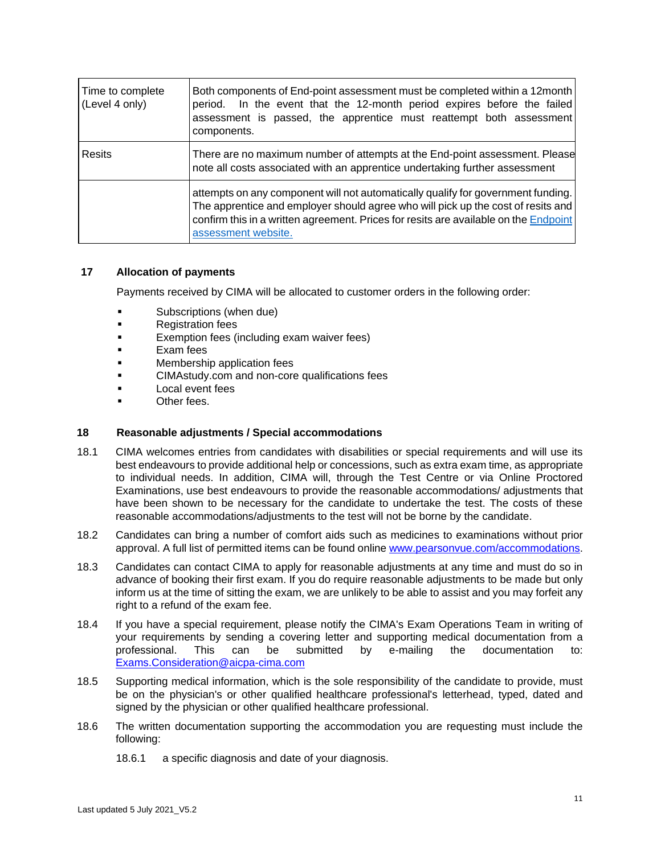| Time to complete<br>(Level 4 only) | Both components of End-point assessment must be completed within a 12month<br>period. In the event that the 12-month period expires before the failed<br>assessment is passed, the apprentice must reattempt both assessment<br>components.                                         |  |
|------------------------------------|-------------------------------------------------------------------------------------------------------------------------------------------------------------------------------------------------------------------------------------------------------------------------------------|--|
| <b>Resits</b>                      | There are no maximum number of attempts at the End-point assessment. Please<br>note all costs associated with an apprentice undertaking further assessment                                                                                                                          |  |
|                                    | attempts on any component will not automatically qualify for government funding.<br>The apprentice and employer should agree who will pick up the cost of resits and<br>confirm this in a written agreement. Prices for resits are available on the Endpoint<br>assessment website. |  |

### **17 Allocation of payments**

Payments received by CIMA will be allocated to customer orders in the following order:

- Subscriptions (when due)
- Registration fees
- **Exemption fees (including exam waiver fees)**
- Exam fees
- Membership application fees
- CIMAstudy.com and non-core qualifications fees
- Local event fees
- Other fees.

### **18 Reasonable adjustments / Special accommodations**

- 18.1 CIMA welcomes entries from candidates with disabilities or special requirements and will use its best endeavours to provide additional help or concessions, such as extra exam time, as appropriate to individual needs. In addition, CIMA will, through the Test Centre or via Online Proctored Examinations, use best endeavours to provide the reasonable accommodations/ adjustments that have been shown to be necessary for the candidate to undertake the test. The costs of these reasonable accommodations/adjustments to the test will not be borne by the candidate.
- 18.2 Candidates can bring a number of comfort aids such as medicines to examinations without prior approval. A full list of permitted items can be found onlin[e www.pearsonvue.com/accommodations.](http://www.pearsonvue.com/accommodations)
- 18.3 Candidates can contact CIMA to apply for reasonable adjustments at any time and must do so in advance of booking their first exam. If you do require reasonable adjustments to be made but only inform us at the time of sitting the exam, we are unlikely to be able to assist and you may forfeit any right to a refund of the exam fee.
- 18.4 If you have a special requirement, please notify the CIMA's Exam Operations Team in writing of your requirements by sending a covering letter and supporting medical documentation from a professional. This can be submitted by e-mailing the documentation to: Exams.Consideration@aicpa-cima.com
- 18.5 Supporting medical information, which is the sole responsibility of the candidate to provide, must be on the physician's or other qualified healthcare professional's letterhead, typed, dated and signed by the physician or other qualified healthcare professional.
- 18.6 The written documentation supporting the accommodation you are requesting must include the following:
	- 18.6.1 a specific diagnosis and date of your diagnosis.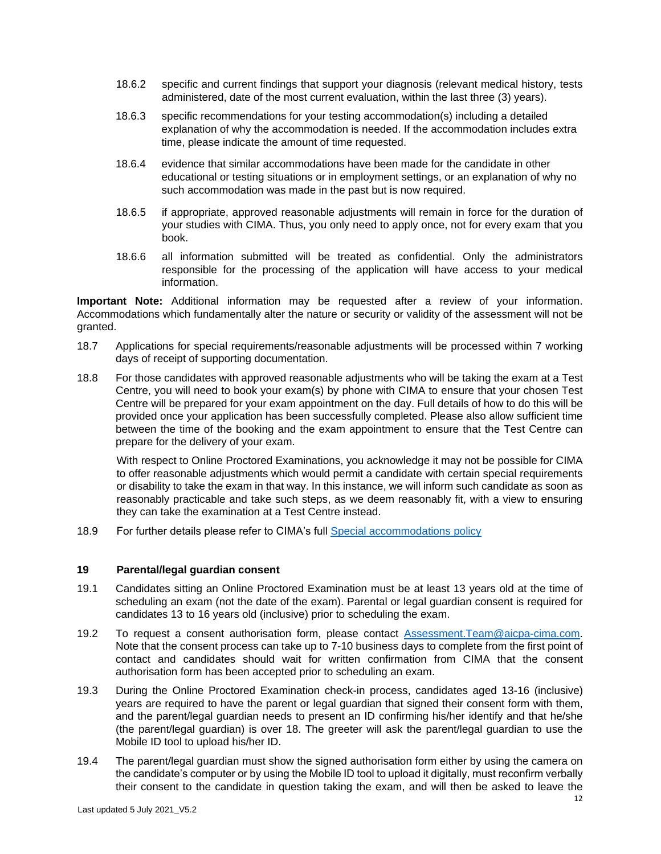- 18.6.2 specific and current findings that support your diagnosis (relevant medical history, tests administered, date of the most current evaluation, within the last three (3) years).
- 18.6.3 specific recommendations for your testing accommodation(s) including a detailed explanation of why the accommodation is needed. If the accommodation includes extra time, please indicate the amount of time requested.
- 18.6.4 evidence that similar accommodations have been made for the candidate in other educational or testing situations or in employment settings, or an explanation of why no such accommodation was made in the past but is now required.
- 18.6.5 if appropriate, approved reasonable adjustments will remain in force for the duration of your studies with CIMA. Thus, you only need to apply once, not for every exam that you book.
- 18.6.6 all information submitted will be treated as confidential. Only the administrators responsible for the processing of the application will have access to your medical information.

**Important Note:** Additional information may be requested after a review of your information. Accommodations which fundamentally alter the nature or security or validity of the assessment will not be granted.

- 18.7 Applications for special requirements/reasonable adjustments will be processed within 7 working days of receipt of supporting documentation.
- 18.8 For those candidates with approved reasonable adjustments who will be taking the exam at a Test Centre, you will need to book your exam(s) by phone with CIMA to ensure that your chosen Test Centre will be prepared for your exam appointment on the day. Full details of how to do this will be provided once your application has been successfully completed. Please also allow sufficient time between the time of the booking and the exam appointment to ensure that the Test Centre can prepare for the delivery of your exam.

With respect to Online Proctored Examinations, you acknowledge it may not be possible for CIMA to offer reasonable adjustments which would permit a candidate with certain special requirements or disability to take the exam in that way. In this instance, we will inform such candidate as soon as reasonably practicable and take such steps, as we deem reasonably fit, with a view to ensuring they can take the examination at a Test Centre instead.

18.9 For further details please refer to CIMA's full [Special accommodations policy](https://www.cimaglobal.com/Studying/Exams/Exam-policies/)

### **19 Parental/legal guardian consent**

- 19.1 Candidates sitting an Online Proctored Examination must be at least 13 years old at the time of scheduling an exam (not the date of the exam). Parental or legal guardian consent is required for candidates 13 to 16 years old (inclusive) prior to scheduling the exam.
- 19.2 To request a consent authorisation form, please contact Assessment.Team@aicpa-cima.com. Note that the consent process can take up to 7-10 business days to complete from the first point of contact and candidates should wait for written confirmation from CIMA that the consent authorisation form has been accepted prior to scheduling an exam.
- 19.3 During the Online Proctored Examination check-in process, candidates aged 13-16 (inclusive) years are required to have the parent or legal guardian that signed their consent form with them, and the parent/legal guardian needs to present an ID confirming his/her identify and that he/she (the parent/legal guardian) is over 18. The greeter will ask the parent/legal guardian to use the Mobile ID tool to upload his/her ID.
- 19.4 The parent/legal guardian must show the signed authorisation form either by using the camera on the candidate's computer or by using the Mobile ID tool to upload it digitally, must reconfirm verbally their consent to the candidate in question taking the exam, and will then be asked to leave the